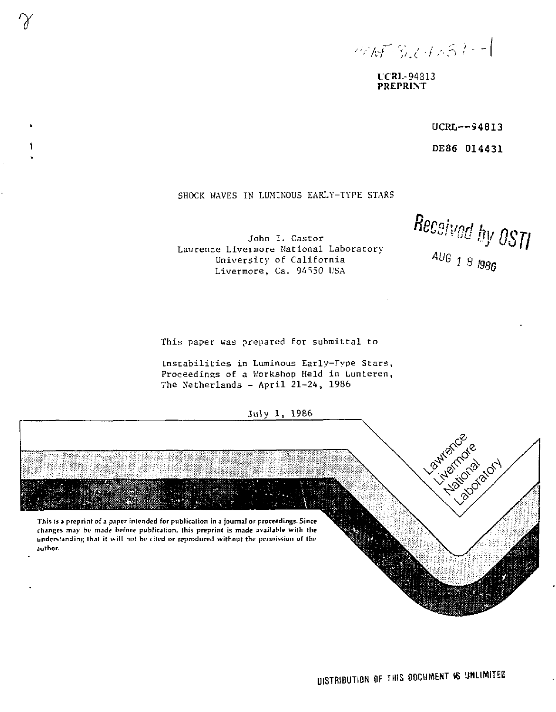*' h i -\<.( •!••••* 

L'CRL-94313 **PREPRINT** 

**UCRL--9481 3** 

**DE86 01443 1** 

SHOCK WAVES IN LUMINOUS EARLY-TYPE STARS

*7* 

John I. Castor Lawrence Livermore National Laboratory University of California Livermore , Ca. 94S50 **USA** 

*Recaived by OSTI AUGis,9S6* 

This paper was prepared for submittal to

Instabilities in Luminous Early-Type Stars, Proceedings of a Workshop Held in Lunteren, The Netherlands - April 21-24, 1986

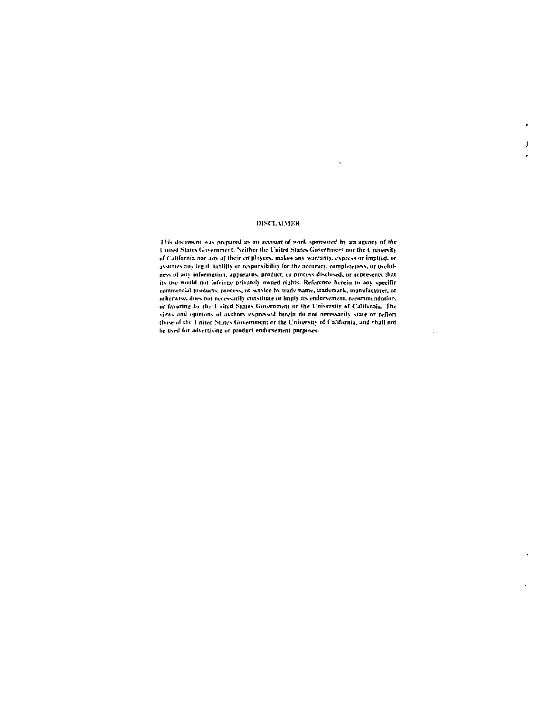#### DISCLAIMER

 $\boldsymbol{\mathsf{s}}$ 

Ţ

His document was prepared as an account of work sponsored hy an agency of the I nited States Government. Neither the United States Government nur the University nf California nor any of their employees, makes any warranty, express or implied, or assumes any feed lighility or responsibility for the accuracy, completeness, or usefulness of any information, apparatus, product, or process disclosed, or represents that its use would not infringe privately owned rights. Reference herein to any specific commercial products, process, or service by trade name, trademark, manufacturer, or atherwise, dues not necessarily constitute or imply its endorsement, recommendation, or favoring by the United States Government or the University of California. The siews and opinions of authors expressed herein do not necessarily state or reflect those of the United States Government or the University of California, and shall not he used for advertising or product endorsement purposes.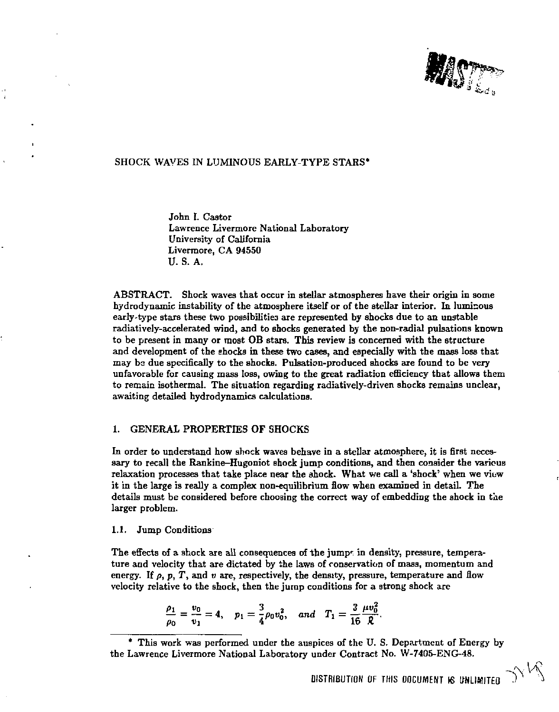

# SHOCK WAVES IN LUMINOUS EARLY-TYPE STARS\*

John I. Castor Lawrence Livermore National Laboratory University of California Livermore, CA 94550 U. S. A.

ABSTRACT. Shock waves that occur in stellar atmospheres have their origin in some hydrodynamic instability of the atmosphere itself or of the stellar interior. In luminous early-type stars these two possibilities are represented by shocks due to an unstable radiatively-accelerated wind, and to shocks generated by the non-radial pulsations known to be present in many or most OB stars. This review is concerned with the structure and development of the shocks in these two cases, and especially with the mass loss that may bs due specifically to the shocks. Pulsation-produced shocks are found to be very unfavorable for causing mass loss, owing to the great radiation efficiency that allows them to remain isothermal. The situation regarding radiatively-driven shocks remains unclear, awaiting detailed hydrodynamics calculations.

# 1. GENERAL PROPERTIES OF SHOCKS

In order to understand how shock waves behave in a stellar atmosphere, it is first necessary to recall the Rankine-Hugoniot shock jump conditions, and then consider the various relaxation processes that take place near the shock. What we call a 'shock' when we viuw it in the large is really a complex non-equilibrium flow when examined in detail. The details must be considered before choosing the correct way of embedding the shock in the larger problem.

1.1. Jump Conditions

The effects of a shock are all consequences of the jumps in density, pressure, temperature and velocity that are dictated by the laws of conservation of mass, momentum and energy. If  $\rho$ ,  $p$ ,  $T$ , and  $v$  are, respectively, the density, pressure, temperature and flow velocity relative to the shock, then the jump conditions for a strong shock are

$$
\frac{\rho_1}{\rho_0}=\frac{v_0}{v_1}=4, \quad p_1=\frac{3}{4}\rho_0 v_0^2, \quad and \quad T_1=\frac{3}{16}\frac{\mu v_0^2}{R}.
$$

**DISTRIBUTION OF THIS DOCUMENT IS UNLIMITED**  $\gamma$   $\mathbb{R}$ 

<sup>\*</sup> This work was performed under the auspices of the U. S. Department of Energy by the Lawrence Livermore National Laboratory under Contract No. W-7405-ENG-48.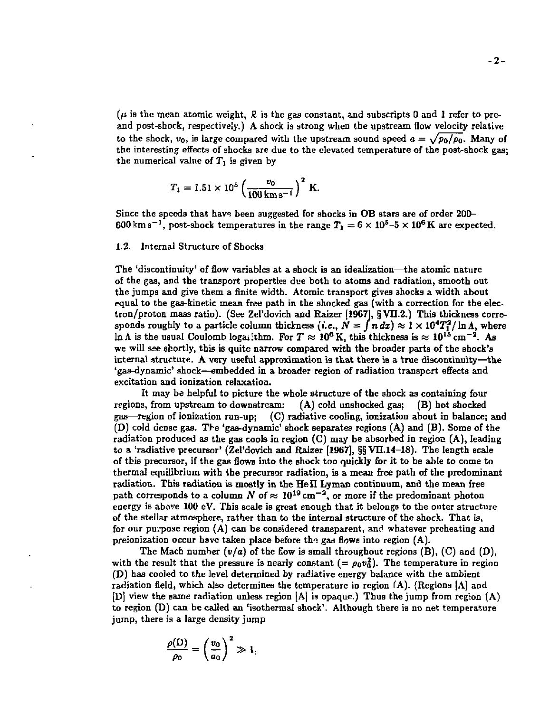$(\mu$  is the mean atomic weight,  $\mathcal{R}$  is the gas constant, and subscripts 0 and 1 refer to preand post-shock, respectively.) A shock is strong when the upstream flow velocity relative to the shock,  $v_0$ , is large compared with the upstream sound speed  $a = \sqrt{p_0/p_0}$ . Many of the interesting effects of shocks are due to the elevated temperature of the post-shock gas; the numerical value of  $T_1$  is given by

$$
T_1 = 1.51 \times 10^5 \left(\frac{v_0}{100 \text{ km s}^{-1}}\right)^2 \text{ K}.
$$

Since the speeds that have been suggested for shocks in OB stars are of order 200- $600 \text{ km s}^{-1}$ , post-shock temperatures in the range  $T_1 = 6 \times 10^5 - 5 \times 10^6 \text{ K}$  are expected.

# 1.2. Internal Structure of Shocks

The 'discontinuity' of flow variables at a shock is an idealization—the atomic nature of the gas, and the transport properties due both to atoms and radiation, smooth out the jumps and give them a finite width. Atomic transport gives shocks a width about equal to the gas-kinetic mean free path in the shocked gas (with a correction for the electron/proton mass ratio). (See Zel'dovich and Raizer (1967), § VII.2.) This thickness corresponds roughly to a particle column thickness (*i.e.*,  $N = \int n \, dx$ )  $\approx 1 \times 10^4 T_1^2 / \ln \Lambda$ , where In A is the usual Coulomb loga<sub>i</sub>;thm. For  $T \approx 10^6$  K, this thickness is  $\approx 10^{15}$  cm<sup>-2</sup>. As we will see shortly, this is quite narrow compared with the broader parts of the shock's internal structure. A very useful approximation is that there is a true discontinuity—the 'gas-dynamic' shock—embedded in a broader region of radiation transport effects and excitation and ionization relaxation.

It may be helpful to picture the whole structure of the shock as containing four regions, from upstream to downstream: (A) cold unshocked gas; (B) hot shocked gas—region of ionization run-up; (C) radiative cooling, ionization about in balance; and  $(D)$  cold dense gas. The 'gas-dynamic' shock separates regions  $(A)$  and  $(B)$ . Some of the radiation produced as the gas cools in region (C) may be absorbed in region (A), leading to a 'radiative precursor' (Zel'dovich and Raizer [1967], §§VII.14-18). The length scale of this precursor, if the gas flows into the shock too quickly for it to be able to come to thermal equilibrium with the precursor radiation, is a mean free path of the predominant radiation. This radiation is mostly in the Hell Lyman continuum, and the mean free path corresponds to a column N of  $\approx 10^{19}$  cm<sup>-2</sup>, or more if the predominant photon energy is above 100 eV. This scale is great enough that it belongs to the outer structure of the stellar atmosphere, rather than to the internal structure of the shock. That is, for our pu: pose region  $(A)$  can be considered transparent, and whatever preheating and preionization occur have taken place before the gas flows into region (A).

The Mach number  $(v/a)$  of the flow is small throughout regions  $(B)$ ,  $(C)$  and  $(D)$ , with the result that the pressure is nearly constant ( $= \rho_0 v_0^2$ ). The temperature in region (D) has cooled to the level determined by radiative energy balance with the ambient radiation field, which also determines the temperature in region (A). (Regions [A] and  $[D]$  view the same radiation unless region  $[A]$  is opaque.) Thus the jump from region  $(A)$ to region (D) can he called an 'isothermal shock'. Although there is no net temperature jump, there is a large density jump

$$
\frac{\rho(D)}{\rho_0}=\left(\frac{v_0}{a_0}\right)^2\gg 1,
$$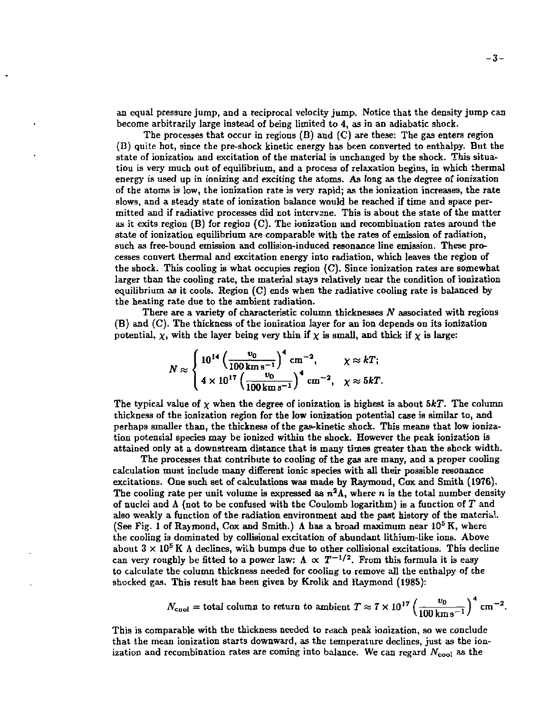an equal pressure jump, and a reciprocal velocity jump. Notice that the density jump can become arbitrarily large instead of being limited to 4, as in an adiabatic shock.

The processes that occur in regions (B) and (C) are these: The gas enters region (B) quite hot, since the pre-sbock kinetic energy has been converted to enthalpy. But the state of ionization and excitation of the material is unchanged by the shock. This situation is very much out of equilibrium, and a process of relaxation begins, in which thermal energy is used up in ionizing and exciting the atoms. As long as the degree of ionization of the atoms is low, the ionization rate is very rapid; as the ionization increases, the rate slows, and a steady state of ionization balance would be reached if time and space permitted and if radiative processes did not intervene. This is about the state of the matter as it exits region (B) for region (C). The ionization and recombination rates around the state of ionization equilibrium are comparable with the rates of emission of radiation, such as free-bound emission and collision-induced resonance line emission. These processes convert thermal and excitation energy into radiation, which leaves the region of the shock. This cooling is what occupies region (C). Since ionization rates are somewhat larger than the cooling rate, the material stays relatively near the condition of ionization equilibrium as it cools. Region (C) ends when the radiative cooling rate is balanced by the heating rate due to the ambient radiation.

There are a variety of characteristic column thicknesses *N* associated with regions (B) and (C). The thickness of the ionization layer for an ion depends on its ionization potential,  $\chi$ , with the layer being very thin if  $\chi$  is small, and thick if  $\chi$  is large:

$$
N \approx \begin{cases} 10^{14} \left(\frac{v_0}{100 \text{ km s}^{-1}}\right)^4 \text{ cm}^{-2}, & \chi \approx kT; \\ 4 \times 10^{17} \left(\frac{v_0}{100 \text{ km s}^{-1}}\right)^4 \text{ cm}^{-2}, & \chi \approx 5kT. \end{cases}
$$

The typical value of  $\chi$  when the degree of ionization is highest is about 5kT. The column thickness of the ionization region for the low ionization potential case is similar to, and perhaps smaller than, the thickness of the gas-kinetic shock. This means that low ionization potential species may be ionized within the shock. However the peak ionization is attained only at a downstream distance that is many times greater than the shock width.

The processes that contribute to cooling of the gas are many, and a proper cooling calculation must include many different ionic species with all their possible resonance excitations. One such set of calculations was made by Raymond, Cox and Smith (1976). The cooling rate per unit volume is expressed as  $n^2\Lambda$ , where n is the total number density of nuclei and A (not to be confused with the Coulomb logarithm) is a function of *T* and also weakly a function of the radiation environment and the past history of the material. (See Fig. 1 of Raymond, Cox and Smith.) A has a broad maximum near  $10^5$  K, where the cooling is dominated by collisional excitation of abundant lithium-like ions. Above about  $3 \times 10^5$  K A declines, with bumps due to other collisional excitations. This decline can very roughly be fitted to a power law:  $\Lambda \propto T^{-1/2}$ . From this formula it is easy to calculate the column thickness needed for cooling to remove all the enthalpy of the shocked gas. This result has been given by Krolik and Raymond (1985):

$$
N_{\rm cool} = \text{total column to return to ambient } T \approx 7 \times 10^{17} \left( \frac{v_0}{100 \text{ km s}^{-1}} \right)^4 \text{ cm}^{-2}.
$$

This is comparable with the thickness needed to reach peak ionization, so we conclude that the mean ionization starts downward, as the temperature declines, just as the ionization and recombination rates are coming into balance. We can regard  $N_{\text{cool}}$  as the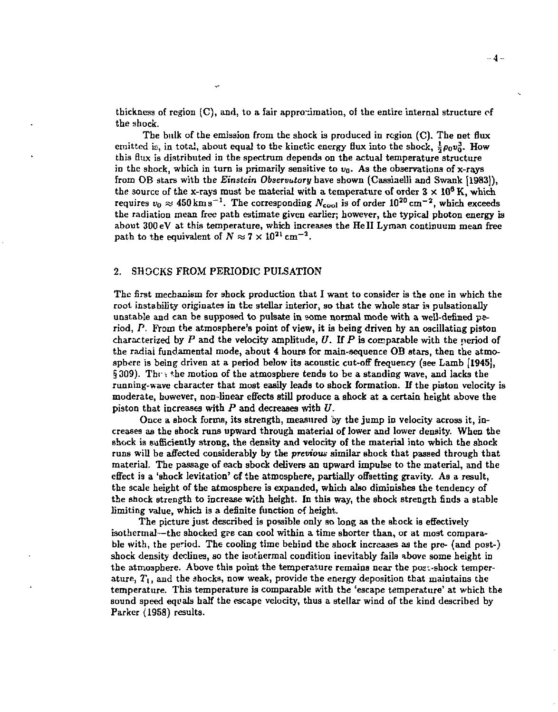thickness of region (C), and, to a fair approximation, of the entire internal structure of the shock.

The bulk of the emission from the shock is produced in region (C). The net flux emitted is, in total, about equal to the kinetic energy flux into the shock,  $\frac{1}{6}\rho_0v_0^2$ . How this flux is distributed in the spectrum depends on the actual temperature structure in the shock, which in turn is primarily sensitive to *VQ.* AS the observations of x-rays from OB stars with the *Einstein Observatory* have shown (Cassiaelli and Swank [1983]), the source of the x-rays must be material with a temperature of order  $3 \times 10^6$  K, which requires  $v_0 \approx 450 \,\mathrm{km \,s}^{-1}$ . The corresponding  $N_{cool}$  is of order  $10^{20}\,\mathrm{cm}^{-2}$ , which exceeds the radiation mean free path estimate given earlier; however, the typical photon energy is about 300eV at this temperature, which increases the Hell Lyman continuum mean free path to the equivalent of  $N \approx 7 \times 10^{21}$  cm<sup>-2</sup>.

## 2. SHOCKS FROM PERIODIC PULSATION

The first mechanism for shock production that I want to consider is the one in which the root instability originates in the stellar interior, so that the whole star is pulsationally unstable and can be supposed to pulsate in some normal mode with a well-defined period, *P.* From the atmosphere's point of view, it is being driven by an oscillating piston characterized by *P* and the velocity amplitude, *U.* If *P* is comparable with the period of the radial fundamental mode, about 4 hours for main-sequence OB stars, then the atmosphere is being driven at a period below its acoustic cut-off frequency (see Lamb [1945], §309). Thr • *the* motion of the atmosphere tends to be a standing wave, and lacks the running-wave character that most easily leads to shock formation. If the piston velocity is moderate, however, non-linear effects still produce a shock at a certain height above the piston that increases with *P* and decreases with *U.* 

Once a shock forms, its strength, measured by the jump in velocity across it, increases as the shock runs upward through material of lower and lower density. When the shock is sufficiently strong, the density and velocity of the material into which the shock runs will be affected considerably by the *previous* similar shock that passed through that material. The passage of each shock delivers an upward impulse to the material, and the effect is a 'shock levitation' of the atmosphere, partially offsetting gravity. As a result, the scale height of the atmosphere is expanded, which also diminishes the tendency of the snock strength to increase with height. In this way, the shock strength finds a stable limiting value, which is a definite function of height.

The picture just described is possible only so long as the shock is effectively isothermal—the shocked gre can cool within a time shorter than, or at most comparable with, the period. The cooling time behind the shock increases as the pre- (and post-) shock density declines, so the isothermal condition inevitably fails above some height in the atmosphere. Above this point the temperature remains near the post-shock temperature,  $T_1$ , and the shocks, now weak, provide the energy deposition that maintains the temperature. This temperature is comparable with the 'escape temperature' at which the sound speed equals half the escape velocity, thus a stellar wind of the kind described by Parker (1958) results.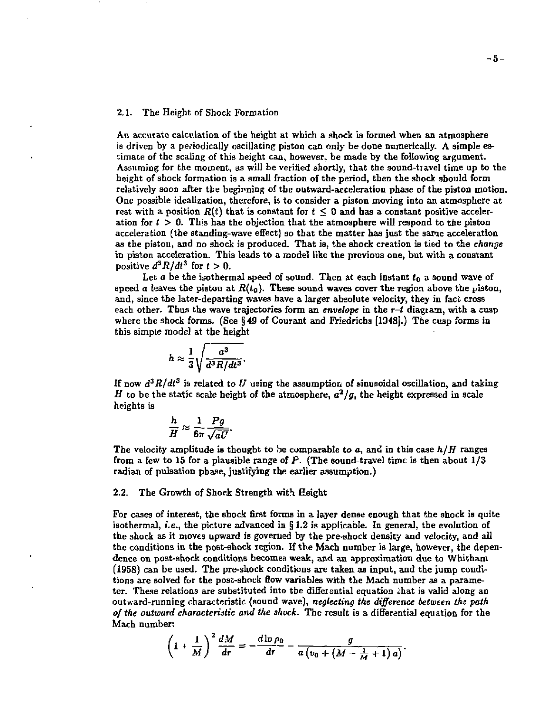## 2.1. The Height of Shock Formation

An accurate calculation of the height at which a shock is formed when an atmosphere is driven by a periodically oscillating piston can only be done numerically. A simple estimate of the scaling of this height can, however, be made by the following argument. Assuming for the moment, as will be verified shortly, that the sound-travel time up to the height of shock formation is a small fraction of the period, then the shock should form relatively soon after the beginning of the outward-acceleration phase of the piston motion. One possible idealization, therefore, is to consider a piston moving into an atmosphere at rest with a position  $R(t)$  that is constant for  $t \leq 0$  and has a constant positive acceleration for  $t > 0$ . This has the objection that the atmosphere will respond to the piston acceleration (the standing-wave effect) so that the matter has just the sane acceleration as the piston, and no shock is produced. That is, the shock creation is tied to the *change*  in piston acceleration. This leads to a model like the previous one, but with a constant positive  $d^3R/dt^3$  for  $t > 0$ .

Let  $a$  be the isothermal speed of sound. Then at each instant  $t_0$  a sound wave of speed a leaves the piston at  $R(t_0)$ . These sound waves cover the region above the piston, and, since the later-departing waves have a larger absolute velocity, they in fact cross each other. Thus the wave trajectories form an *envelope* in the *r-t* diagram, with a cusp where the shock forms. (See §49 of Courant and Friedrichs [1348].) The cusp forms in this simple model at the height

$$
h\approx\frac{1}{3}\sqrt{\frac{a^3}{d^3R/dt^3}}.
$$

If now *d3R/dt<sup>3</sup>* is related to *U* using the assumption of sinusoidal oscillation, and taking *H* to be the static scale height of the atmosphere,  $a^2/a$ , the height expressed in scale heights is

$$
\frac{h}{H} \approx \frac{1}{6\pi} \frac{Pg}{\sqrt{aU}}.
$$

The velocity amplitude is thought to he comparable to *a,* and in this case *h/H* ranges from a few to 15 for a plausible range of *F.* (The sound-travel time is then about 1/3 radian of pulsation phase, justifying the earlier assumption.)

## 2.2. The Growth of Shock Strength with Height

For cases of interest, the shock first forms in a layer dense enough that the shock is quite isothermal, *i.e.*, the picture advanced in  $\S 1.2$  is applicable. In general, the evolution of the shock as it moves upward is governed by the pre-shock density and velocity, and all the conditions in the post-shock region. If the Mach number is large, however, the dependence on post-shock conditions becomes weak, and an approximation due to Whitham (1958) can be used. The pre-shock conditions are taken as input, and the jump conditions are solved for the post-shock flow variables with the Mach number as a parameter. These relations are substituted into the differential equation ^hat is valid along an outward-running characteristic (sound wave), *neglecting the difference between ths path of the outward characteristic and the shock.* The result is a differential equation for the Mach number:

$$
\left(1+\frac{1}{M}\right)^2\frac{dM}{dr}=-\frac{d\ln\rho_0}{dr}-\frac{g}{a\left(v_0+\left(M-\frac{1}{M}+1\right)a\right)}
$$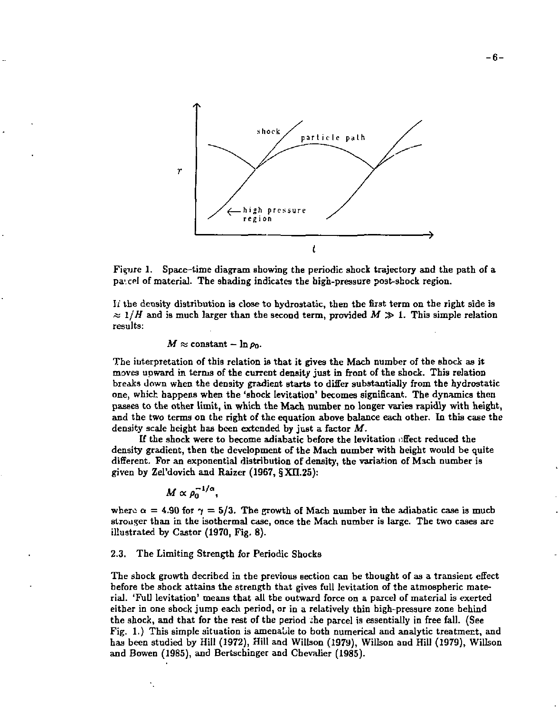

Figure 1. Space-time diagram showing the periodic shock trajectory and the path of a pavcel of material. The shading indicates the high-pressure post-shock region.

 $1/$  the density distribution is close to hydrostatic, then the first term on the right side is  $\approx 1/H$  and is much larger than the second term, provided  $M \gg 1$ . This simple relation results:

#### $M \approx$  constant  $-$  ln  $\rho_0$ .

The interpretation of this relation is that it gives the Mach number of the shock as it moves upward in terms of the current density just in front of the shock. This relation breaks down when the density gradient starts to differ substantially from the hydrostatic one, which happens when the 'shock levitation' becomes significant. The dynamics then passes to the other limit, in which the Mach. number no longer varies rapidly with height, and the two terms on the right of the equation above balance each other. In this case the density scale height has been extended by just a factor *M.* 

If the shock were to become adiabatic before the levitation offect reduced the density gradient, then the development of the Mach number with height would be quite different. For an exponential distribution of density, the variation of Mach number is given by Zel'dovich and Raizer (1967,  $\S$ XII.25):

$$
M \propto \rho_0^{-1/\alpha},
$$

where  $\alpha = 4.90$  for  $\gamma = 5/3$ . The growth of Mach number in the adiabatic case is much stronger than in the isothermal case, once the Mach number is large. The two cases are illustrated by Castor (1970, Fig. 8).

### 2.3. The Limiting Strength for Periodic Shocks

The shock growth decribed in the previous section can be thought of as a transient effect before the shock attains the strength that gives full levitation of the atmospheric material. 'Full levitation' means that all the outward force on a parcel of material is exerted either in one shock jump each period, or in a relatively thin high-pressure zone behind the shock, and that for the rest of the period ;he parcel is essentially in free fall. (See Fig. 1.) This simple situation is amenable to both numerical and analytic treatment, and has been studied by Hill (1972), Hill and Willson (1979), Willson and HiU (1979), Willson and Bowen (1985), and Bertschinger and Chevalier (1985).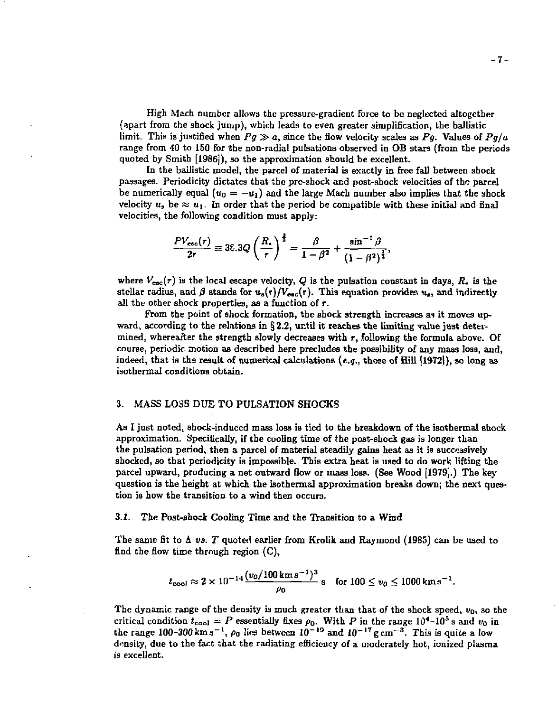High Mach number allows the pressure-gradient force to be neglected altogether (apart from the shock jump), which leads to even greater simplification, the ballistic limit. This is justified when  $Pq \gg a$ , since the flow velocity scales as  $Pa$ . Values of  $Pa/a$ range from 40 to 150 for the non-radial pulsations observed in OB stars (from the periods quoted by Smith [1986]), so the approximation should be excellent.

In the ballistic model, the parcel of material is exactly in free fall between shock passages. Periodicity dictates that the pre-shock and post-shock velocities of the parcel be numerically equal  $(u_0 = -u_1)$  and the large Mach number also implies that the shock velocity u, be  $\approx u_1$ . In order that the period be compatible with these initial and final velocities, the following condition must apply:

$$
\frac{PV_{\text{esc}}(r)}{2r} \equiv 3\epsilon.3Q\left(\frac{R_{\star}}{r}\right)^{\frac{3}{2}} = \frac{\beta}{1-\beta^2} + \frac{\sin^{-1}\beta}{(1-\beta^2)^{\frac{3}{2}}},
$$

where  $V_{\text{esc}}(\tau)$  is the local escape velocity, *Q* is the pulsation constant in days, *R*<sub>*a*</sub> is the stellar radius, and  $\beta$  stands for  $u_s(r)/V_{\text{esc}}(r)$ . This equation provides  $u_s$ , and indirectly all the other shock properties, as a function of r.

From the point of shock formation, the shock strength increases as it moves upward, according to the relations in §2.2, until it reaches the limiting value just determined, whereafter the strength slowly decreases with r, following the formula above. Of course, periodic motion as described here precludes the possibility of any mass loss, and, indeed, that is the result of numerical calculations {e.g., those of Hill [1972)), so long as isothermal conditions obtain.

# 3. MASS LOSS DUE TO PULSATION SHOCKS

As I just noted, shock-induced mass loss is tied to the breakdown of the isothermal shock approximation. Specifically, if the cooling time of the post-shock gas is longer than the pulsation period, then a parcel of material steadily gains heat as it is successively shocked, so that periodicity is impossible. This extra heat is used to do work lifting the parcel upward, producing a net outward flow or mass loss. (See Wood [1979].) The key question is the height at which the isothermal approximation breaks down; the next question is how the transition to a wind then occurs.

### 3.1. The Post-shock Cooling Time and the Transition to a Wind

The same fit to A *V3. T* quoted earlier from Krolik and Raymond (1985) can be used to find the flow time through region (C),

$$
t_{\rm cool} \approx 2 \times 10^{-14} \frac{(v_0/100 \text{ km s}^{-1})^3}{\rho_0}
$$
 s for  $100 \le v_0 \le 1000 \text{ km s}^{-1}$ .

The dynamic range of the density is much greater than that of the shock speed,  $v_0$ , so the critical condition  $t_{\text{cool}} = P$  essentially fixes  $\rho_0$ . With *P* in the range 10<sup>4</sup>-10<sup>5</sup> s and  $v_0$  in the range  $100-300 \text{ km s}^{-1}$ ,  $\rho_0$  lies between  $10^{-19}$  and  $10^{-17}$  g cm<sup>-3</sup>. This is quite a low density, due to the fact that the radiating efficiency of a moderately hot, ionized plasma is excellent.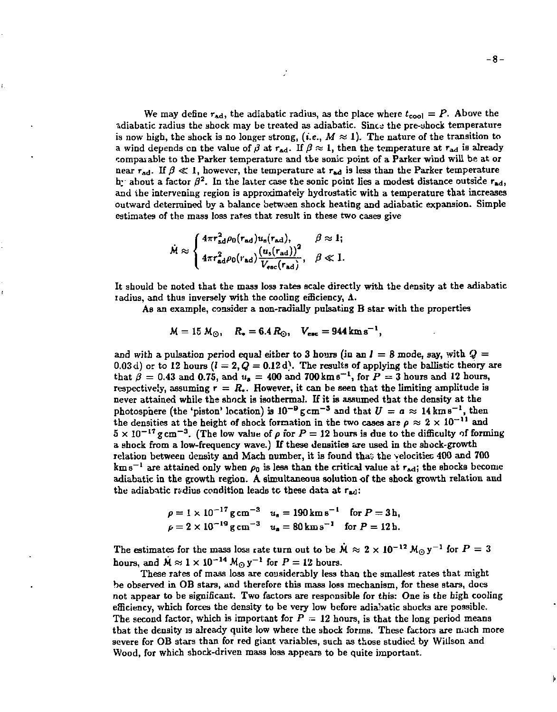We may define  $r_{ad}$ , the adiabatic radius, as the place where  $t_{cool} = P$ . Above the adiabatic radius the shock may be treated as adiabatic. Since the pre-yhock temperature is now high, the shock is no longer strong, (*i.e.*,  $M \approx 1$ ). The nature of the transition to a wind depends on the value of  $\beta$  at  $r_{\rm ad}$ . If  $\beta \approx 1$ , then the temperature at  $r_{\rm ad}$  is already comparable to the Parker temperature and the sonic point of a Parker wind will be at or near  $r_{\rm ad}$ . If  $\beta \ll 1$ , however, the temperature at  $r_{\rm ad}$  is less than the Parker temperature by about a factor  $\beta^2$ . In the latter case the sonic point lies a modest distance outside  $r_{ad}$ , and the intervening region is approximately hydrostatic with a temperature that increases outward determined by a balance between shock heating and adiabatic expansion. Simple estimates of the mass loss rates that result in these two cases give

$$
\dot{\mathcal{M}} \approx \begin{cases} 4\pi r_{\rm ad}^2 \rho_0(r_{\rm ad})u_{\rm a}(r_{\rm ad}), & \beta \approx 1; \\ 4\pi r_{\rm ad}^2 \rho_0(r_{\rm ad})\frac{(u_{\rm a}(r_{\rm ad}))^2}{V_{\rm esc}(r_{\rm ad})}, & \beta \ll 1. \end{cases}
$$

It should be noted that the mass loss rates scale directly with the density at the adiabatic radius, and thus inversely with the cooling efficiency,  $\Lambda$ .

As an example, consider a non-radially pulsating B star with the properties

 $M = 15 M_{\odot}$ ,  $R_* = 6.4 R_{\odot}$ ,  $V_{\text{enc}} = 944 \text{ km s}^{-1}$ ,

and with a pulsation period equal either to 3 hours (in an  $l = 8$  mode, say, with  $Q =$ 0.03d) or to 12 hours  $(l = 2, Q = 0.12d)$ . The results of applying the ballistic theory are that  $\beta = 0.43$  and 0.75, and  $u_s = 400$  and  $700 \text{ km s}^{-1}$ , for  $P = 3$  hours and 12 hours, respectively, assuming  $r = R<sub>s</sub>$ . However, it can be seen that the limiting amplitude is never attained while the shock is isothermal. If it is assumed that the density at the photosphere (the 'piston' location) is  $10^{-9}$  g cm<sup>-3</sup> and that  $U = a \approx 14 \text{ km s}^{-1}$ , then the densities at the height of shock formation in the two cases are  $\rho \approx 2 \times 10^{-11}$  and  $5 \times 10^{-17}$  g cm<sup>-3</sup>. (The low value of  $\rho$  for  $P = 12$  hours is due to the difficulty of forming a shock from a low-frequency wave.) If these densities *sue* used in the shock-growth relation between density and Mach number, it is found that the velocities 400 and 700 km s<sup>-1</sup> are attained only when  $\rho_0$  is less than the critical value at  $r_{\rm sd}$ ; the shocks become adiabatic in the growth region. A simultaneous solution of the shock growth relation and the adiabatic radius condition leads to these data at  $r_{\rm ad}$ :

$$
\rho = 1 \times 10^{-17} \text{ g cm}^{-3} \quad u_{\text{s}} = 190 \text{ km s}^{-1} \quad \text{for } P = 3 \text{ h},
$$
  

$$
\rho = 2 \times 10^{-19} \text{ g cm}^{-3} \quad u_{\text{s}} = 80 \text{ km s}^{-1} \quad \text{for } P = 12 \text{ h}.
$$

The estimates for the mass loss rate turn out to be  $\dot{M} \approx 2 \times 10^{-12} M_{\odot} y^{-1}$  for  $P = 3$ hours, and  $\dot{M} \approx 1 \times 10^{-14}$   $M_{\odot}$  y<sup>-1</sup> for  $P = 12$  hours.

These rates of mass loss are considerably less than the smallest rates that might be observed in OB stars, and therefore this mass loss mechanism, for these stars, docs not appear to be significant. Two factors are responsible for this: One is the high cooling efficiency, which forces the density to be very low before adiabatic shocks are possible. The second factor, which is important for  $P = 12$  hours, is that the long period means that the density is already quite low where the shock forms. These factors are much more severe for OB stars than for red giant variables, such as those studied by Willson and Wood, for which shock-driven mass loss appears to be quite important.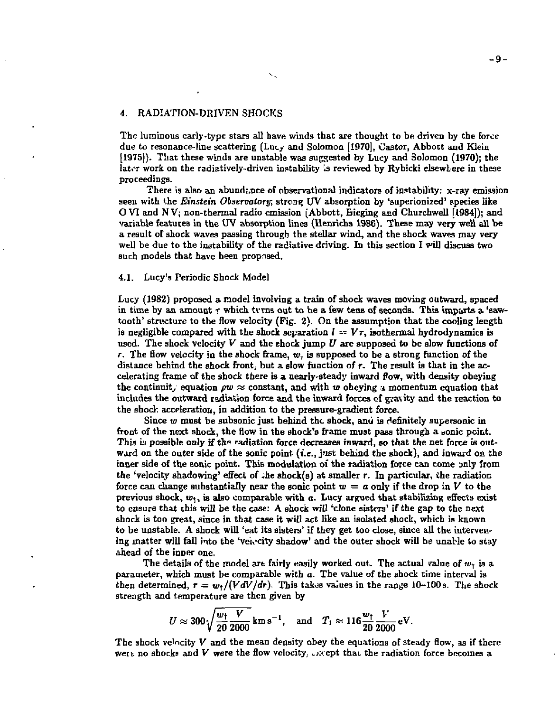## 4. RADIATION-DRIVEN SHOCKS

The luminous early-type stars all have winds that are thought to be driven by the force due to resonance-line scattering (Lucy and Solomon [1970], Castor, Abbott and Klein [1975]). That these winds are unstable was suggested by Lucy and Solomon (1970); the later work on the radiatively-driven instability is reviewed by Rybicki elsewhere in these proceedings.

There is also an abundance of observational indicators of instability:  $x$ -ray emission seen with the *Einstein Observatory,* strong UV absorption by \*superionized' species like O VI and NV; non-thermal radio emission (Abbott, Bieging and Churchwell [1984]); and variable features in the UV absorption lines (Henrichs 1986). These may very well all be a result of shock waves passing through the stellar wind, and the shock waves may very well be due to the instability of the radiative driving. In this section I will discuss two such models that have been, proposed,

#### 4.1. Lucy's Periodic Shock Model

Lucy (1982) proposed a model involving a train of shock waves moving outward, spaced in time by an amount *r* which tvrns out to be a few tens of seconds. This imparts a 'sawtooth' structure to the flow velocity (Fig. 2). On the assumption that the cooling length is negligible compared with the shock separation  $l = Vr$ , isothermal hydrodynamics is used. The shock velocity *V* and the shock jump *U* are supposed to be slow functions of *r.* The flow velocity in the shock frame, w, is supposed to be a strong function of the distance behind the shock front, but a slow function of  $r$ . The result is that in the accelerating frame of the shock there is a nearly-steady inward flow, with density obeying the continuit, equation  $\rho w \approx$  constant, and with w obeying a momentum equation that includes the outward radiation force and the inward forces of gra\ ity and the reaction to the shock acceleration, in addition to the pressure-gradient force.

Since *w* must be subsonic just behind the shock, ami is definitely supersonic in front of the next shock, the flow in the shock's frame must pass through a sonic point. This is possible only if the radiation force decreases inward, so that the net force is outward on the outer side of the sonic point  $(i.e.,$  just behind the shock), and inward on the inner side of the eonic point. This modulation of the radiation force can come only from the 'velocity shadowing' effect of  $\Delta$  if shock(s) at smaller r. In particular, the radiation force can change substantially near the sonic point  $w = a$  only if the drop in V to the previous shock,  $w_t$ , is also comparable with a. Lucy argued that stabilizing effects exist to ensure that this will be the case: A shock will 'clone sisters' if the gap to the next shock is too great, since in that case it will act like an isolated shock, which is known to be unstable. A shock will 'eat its sisters' if they get too close, since all the intervening matter will fall into the 'veu-city shadow' and the outer shock will be unable to stay ahead of the inner one.

The details of the model are fairly easily worked out. The actual value of  $w<sub>1</sub>$  is a parameter, which must be comparable with o. The value of the shock time interval is then determined,  $r = w_t/(V dV/dr)$ . This takes values in the range 10-100s. The shock strength and temperature are then given by

$$
U \approx 300 \sqrt{\frac{w_1}{20}} \frac{V}{2000} \text{ km s}^{-1}
$$
, and  $T_1 \approx 116 \frac{w_1}{20} \frac{V}{2000} \text{ eV}$ .

The shock velocity  $V$  and the mean density obey the equations of steady flow, as if there were no shocks and V were the flow velocity,  $\omega$  cept that the radiation force becomes a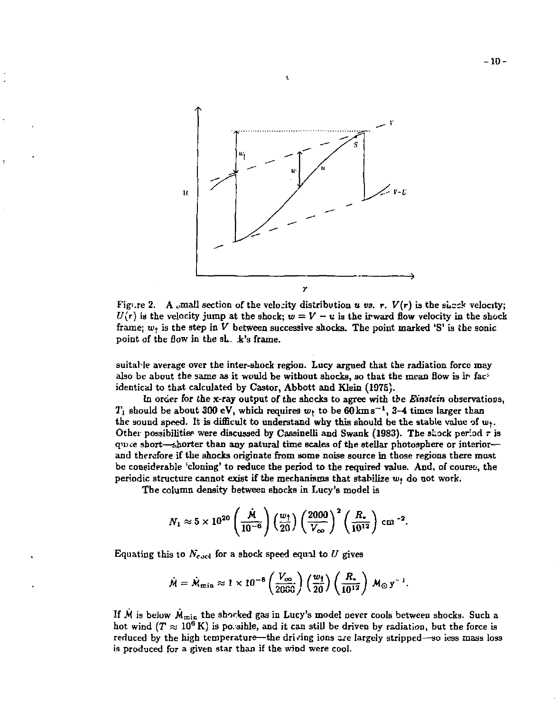

Figure 2. A <sub>c</sub> mall section of the velocity distribution  $u$  vs. r.  $V(r)$  is the sLcck velocity;  $U(r)$  is the velocity jump at the shock;  $w = V - u$  is the irward flow velocity in the shock frame;  $w_{\uparrow}$  is the step in V between successive shocks. The point marked 'S' is the sonic point of the flow in the sL. k's frame.

suitable average over the inter-shock region. Lucy argued that the radiation force may also be about the same as it would be without shocks, so that the mean flow is ir fac'' identical to that calculated by Castor, Abbott and Klein (1075).

In order for *the* x-ray output of the shocks to agree with the *Einstein* observations,  $T_1$  should be about 300 eV, which requires  $w_t$  to be 60 km s<sup>-1</sup>, 3-4 times larger than the sound speed. It is difficult to understand why this should be the stable value of  $w_i$ . Other possibilities were discussed by Cassinelli and Swank (1983). The shock period  $\tau$  is *q}itce* short—shorter than any natural time scales of the stellar photosphere or interior and therefore if the shocks originate from some noise source in those regions there mast be considerable 'cloning\* to reduce the period to the required value. And, of course, the periodic structure cannot exist if the mechanisms that stabilize  $w_t$  do not work.

The column density between shocks in Lucy's model is

$$
N_1 \approx 5 \times 10^{20} \left(\frac{\dot{\cal M}}{10^{-6}}\right) \left(\frac{w_{\uparrow}}{20}\right) \left(\frac{2000}{V_{\infty}}\right)^2 \left(\frac{R_{\bullet}}{10^{12}}\right) \, \text{cm}^{-2}.
$$

Equating this to  $N_{\text{cool}}$  for a shock speed equal to  $U$  gives

$$
\dot{\mathcal{M}}=\dot{\mathcal{M}}_{\rm min}\approx 1\times 10^{-8}\left(\frac{V_\infty}{2000}\right)\left(\frac{w_\dagger}{20}\right)\left(\frac{R_\star}{10^{12}}\right)\,\mathcal{M}_\odot\,y^{-1}.
$$

If  $\dot{M}$  is below  $\dot{M}_{\text{min}}$  the shocked gas in Lucy's model never cools between shocks. Such a hot wind  $(T \approx 10^6 \text{ K})$  is po. sihle, and it can still be driven by radiation, but the force is reduced by the high temperature—the driving ions are largely stripped—so jess mass loss is produced for a given star than if the wind were cool.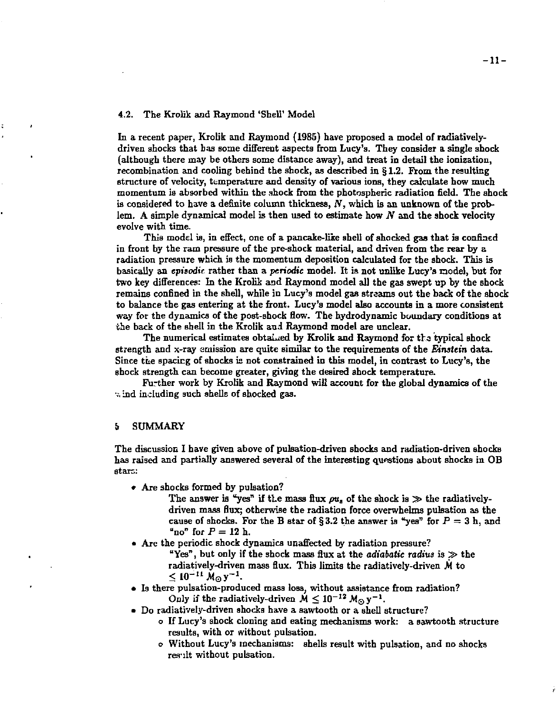#### 4.2. The Krolik and Raymond 'Shell' Model

In a recent paper, Krolik and Raymond (1985) have proposed a model of radiativelydriven shocks that has some different aspects from Lucy's. They consider a single shock (although there may be others some distance away), and treat in detail the ionization, recombination and cooling behind the shock, as described in §1.2. From the resulting structure of velocity, temperature and density of various ions, they calculate how much momentum is absorbed within the shock from the photospheric radiation field. The shock is considered to have a definite column thickness,  $N$ , which is an unknown of the problem. A simple dynamical model is then used to estimate how  $N$  and the shock velocity evolve with time.

This model is, in effect, one of a pancake-like shell of shocked gas that is confined in front by the ram pressure of the pre-shock material, and driven from the rear by a radiation pressure which is the momentum deposition calculated for the shock. This is basically an *episodic* rather than a *periodic* model. It is not unlike Lucy's model, but for two key differences: In the Krolik and Raymond model all the gas swept up by the shock remains confined in the shell, while in Lucy's model gas streams out the back of the shock to balance the gas entering at the front. Lucy's model also accounts in a more consistent way for the dynamics of the post-shock flow. The hydrodynamic boundary conditions at the back of the shell in the Krolik and Raymond model are unclear.

The numerical estimates obtained by Krolik and Raymond for the typical shock strength and x-ray emission are quite similar to the requirements of the *Einstein* data. Since the spacing of shocks is not constrained in this model, in contrast to Lucy's, the shock strength can become greater, giving the desired shock temperature.

Further work by Krolik and Raymond will account for the global dynamics of the  $\approx$  ind including such shells of shocked gas.

## *h* SUMMARY

The discussion I have given above of pulsation-driven shocks and radiation-driven shocks has raised and partially answered several of the interesting questions about shocks in OB stars:

- Are shocks formed by pulsation?
	- The answer is "yes" if the mass flux  $\rho u_{\mu}$  of the shock is  $\gg$  the radiativelydriven mass flux; otherwise the radiation force overwhelms pulsation as the cause of shocks. For the B star of §3.2 the answer is "yes" for  $P = 3$  h, and "no" for *P =* 12 h.
- Are the periodic shock dynamics unaffected by radiation pressure? "Yes", but only if the shock mass flux at the *adiabatic radius* is  $\gg$  the radiatively-driven mass flux. This limits the radiatively-driven  $\dot{M}$  to  $< 10^{-11}$   $M_{\odot}$  y<sup>-1</sup>.
- Is there pulsation-produced mass loss, without assistance from radiation? Only if the radiatively-driven  $\mathcal{M} \leq 10^{-12} \mathcal{M}_{\odot} \mathcal{y}^{-1}$ .
- Do radiatively-driven shocks have a sawtooth or a shell structure?
	- o If Lucy's shock cloning and eating mechanisms work: a sawtooth structure results, with or without pulsation.
	- o Without Lucy's mechanisms: shells result with pulsation, and no shocks res'lit without pulsation.